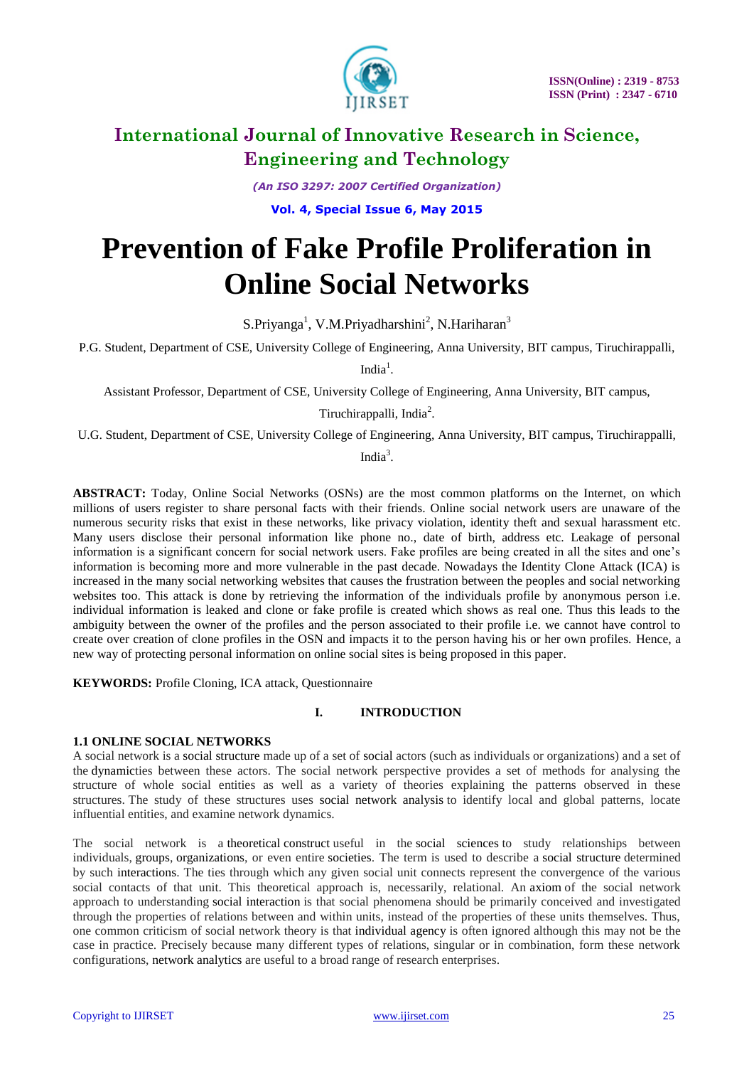

*(An ISO 3297: 2007 Certified Organization)*

**Vol. 4, Special Issue 6, May 2015**

# **Prevention of Fake Profile Proliferation in Online Social Networks**

S.Priyanga<sup>1</sup>, V.M.Priyadharshini<sup>2</sup>, N.Hariharan<sup>3</sup>

P.G. Student, Department of CSE, University College of Engineering, Anna University, BIT campus, Tiruchirappalli,

India $<sup>1</sup>$ .</sup>

Assistant Professor, Department of CSE, University College of Engineering, Anna University, BIT campus,

Tiruchirappalli, India<sup>2</sup>.

U.G. Student, Department of CSE, University College of Engineering, Anna University, BIT campus, Tiruchirappalli,

India $3$ .

**ABSTRACT:** Today, Online Social Networks (OSNs) are the most common platforms on the Internet, on which millions of users register to share personal facts with their friends. Online social network users are unaware of the numerous security risks that exist in these networks, like privacy violation, identity theft and sexual harassment etc. Many users disclose their personal information like phone no., date of birth, address etc. Leakage of personal information is a significant concern for social network users. Fake profiles are being created in all the sites and one's information is becoming more and more vulnerable in the past decade. Nowadays the Identity Clone Attack (ICA) is increased in the many social networking websites that causes the frustration between the peoples and social networking websites too. This attack is done by retrieving the information of the individuals profile by anonymous person i.e. individual information is leaked and clone or fake profile is created which shows as real one. Thus this leads to the ambiguity between the owner of the profiles and the person associated to their profile i.e. we cannot have control to create over creation of clone profiles in the OSN and impacts it to the person having his or her own profiles. Hence, a new way of protecting personal information on online social sites is being proposed in this paper.

**KEYWORDS:** Profile Cloning, ICA attack, Questionnaire

#### **I. INTRODUCTION**

#### **1.1 ONLINE SOCIAL NETWORKS**

A social network is a social structure made up of a set of social actors (such as individuals or organizations) and a set of the dynamicties between these actors. The social network perspective provides a set of methods for analysing the structure of whole social entities as well as a variety of theories explaining the patterns observed in these structures. The study of these structures uses social network analysis to identify local and global patterns, locate influential entities, and examine network dynamics.

The social network is a theoretical construct useful in the social sciences to study relationships between individuals, groups, organizations, or even entire societies. The term is used to describe a social structure determined by such interactions. The ties through which any given social unit connects represent the convergence of the various social contacts of that unit. This theoretical approach is, necessarily, relational. An axiom of the social network approach to understanding social interaction is that social phenomena should be primarily conceived and investigated through the properties of relations between and within units, instead of the properties of these units themselves. Thus, one common criticism of social network theory is that individual agency is often ignored although this may not be the case in practice. Precisely because many different types of relations, singular or in combination, form these network configurations, network analytics are useful to a broad range of research enterprises.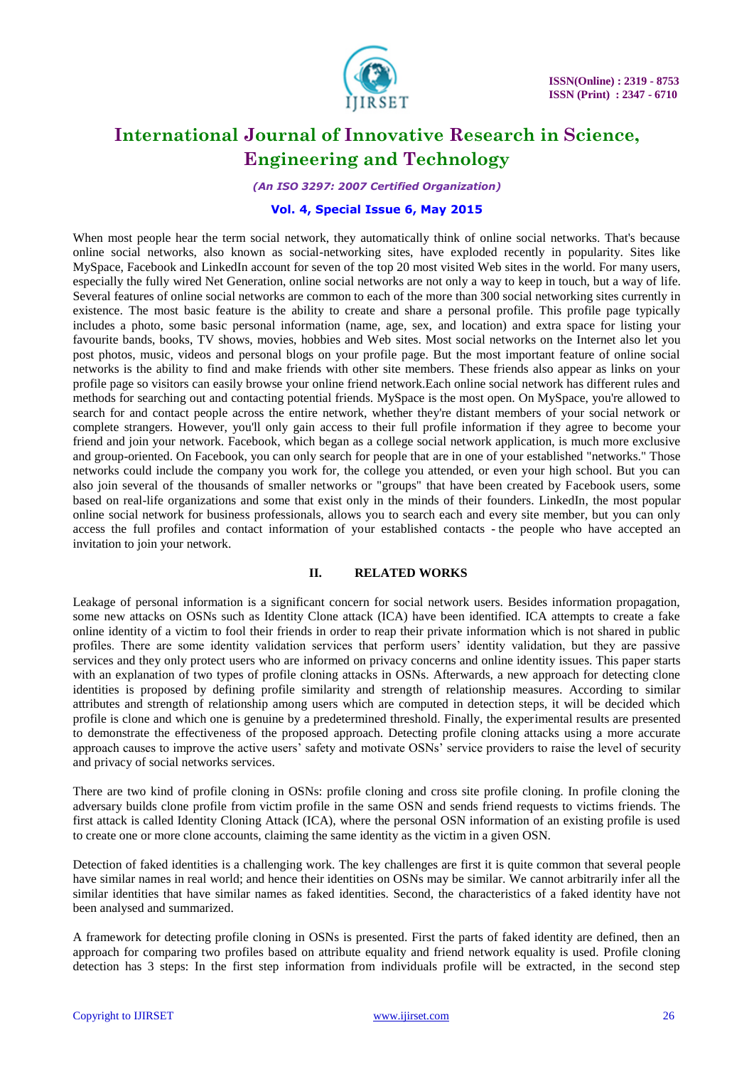

*(An ISO 3297: 2007 Certified Organization)*

#### **Vol. 4, Special Issue 6, May 2015**

When most people hear the term social network, they automatically think of online social networks. That's because online social networks, also known as social-networking sites, have exploded recently in popularity. Sites like MySpace, Facebook and LinkedIn account for seven of the top 20 most visited Web sites in the world. For many users, especially the fully wired Net Generation, online social networks are not only a way to keep in touch, but a way of life. Several features of online social networks are common to each of the more than 300 social networking sites currently in existence. The most basic feature is the ability to create and share a personal profile. This profile page typically includes a photo, some basic personal information (name, age, sex, and location) and extra space for listing your favourite bands, books, TV shows, movies, hobbies and Web sites. Most social networks on the Internet also let you post photos, music, videos and personal blogs on your profile page. But the most important feature of online social networks is the ability to find and make friends with other site members. These friends also appear as links on your profile page so visitors can easily browse your online friend network.Each online social network has different rules and methods for searching out and contacting potential friends. MySpace is the most open. On MySpace, you're allowed to search for and contact people across the entire network, whether they're distant members of your social network or complete strangers. However, you'll only gain access to their full profile information if they agree to become your friend and join your network. Facebook, which began as a college social network application, is much more exclusive and group-oriented. On Facebook, you can only search for people that are in one of your established "networks." Those networks could include the company you work for, the college you attended, or even your high school. But you can also join several of the thousands of smaller networks or "groups" that have been created by Facebook users, some based on real-life organizations and some that exist only in the minds of their founders. LinkedIn, the most popular online social network for business professionals, allows you to search each and every site member, but you can only access the full profiles and contact information of your established contacts - the people who have accepted an invitation to join your network.

#### **II. RELATED WORKS**

Leakage of personal information is a significant concern for social network users. Besides information propagation, some new attacks on OSNs such as Identity Clone attack (ICA) have been identified. ICA attempts to create a fake online identity of a victim to fool their friends in order to reap their private information which is not shared in public profiles. There are some identity validation services that perform users' identity validation, but they are passive services and they only protect users who are informed on privacy concerns and online identity issues. This paper starts with an explanation of two types of profile cloning attacks in OSNs. Afterwards, a new approach for detecting clone identities is proposed by defining profile similarity and strength of relationship measures. According to similar attributes and strength of relationship among users which are computed in detection steps, it will be decided which profile is clone and which one is genuine by a predetermined threshold. Finally, the experimental results are presented to demonstrate the effectiveness of the proposed approach. Detecting profile cloning attacks using a more accurate approach causes to improve the active users' safety and motivate OSNs' service providers to raise the level of security and privacy of social networks services.

There are two kind of profile cloning in OSNs: profile cloning and cross site profile cloning. In profile cloning the adversary builds clone profile from victim profile in the same OSN and sends friend requests to victims friends. The first attack is called Identity Cloning Attack (ICA), where the personal OSN information of an existing profile is used to create one or more clone accounts, claiming the same identity as the victim in a given OSN.

Detection of faked identities is a challenging work. The key challenges are first it is quite common that several people have similar names in real world; and hence their identities on OSNs may be similar. We cannot arbitrarily infer all the similar identities that have similar names as faked identities. Second, the characteristics of a faked identity have not been analysed and summarized.

A framework for detecting profile cloning in OSNs is presented. First the parts of faked identity are defined, then an approach for comparing two profiles based on attribute equality and friend network equality is used. Profile cloning detection has 3 steps: In the first step information from individuals profile will be extracted, in the second step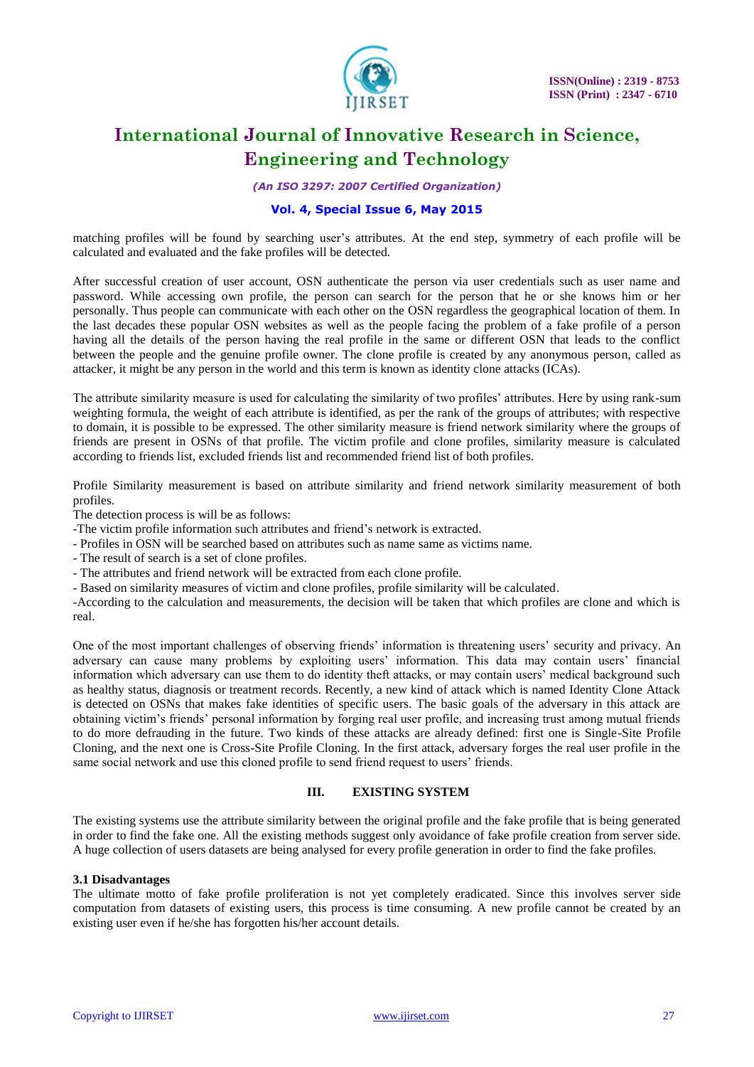

*(An ISO 3297: 2007 Certified Organization)*

#### **Vol. 4, Special Issue 6, May 2015**

matching profiles will be found by searching user's attributes. At the end step, symmetry of each profile will be calculated and evaluated and the fake profiles will be detected.

After successful creation of user account, OSN authenticate the person via user credentials such as user name and password. While accessing own profile, the person can search for the person that he or she knows him or her personally. Thus people can communicate with each other on the OSN regardless the geographical location of them. In the last decades these popular OSN websites as well as the people facing the problem of a fake profile of a person having all the details of the person having the real profile in the same or different OSN that leads to the conflict between the people and the genuine profile owner. The clone profile is created by any anonymous person, called as attacker, it might be any person in the world and this term is known as identity clone attacks (ICAs).

The attribute similarity measure is used for calculating the similarity of two profiles' attributes. Here by using rank-sum weighting formula, the weight of each attribute is identified, as per the rank of the groups of attributes; with respective to domain, it is possible to be expressed. The other similarity measure is friend network similarity where the groups of friends are present in OSNs of that profile. The victim profile and clone profiles, similarity measure is calculated according to friends list, excluded friends list and recommended friend list of both profiles.

Profile Similarity measurement is based on attribute similarity and friend network similarity measurement of both profiles.

The detection process is will be as follows:

-The victim profile information such attributes and friend's network is extracted.

- Profiles in OSN will be searched based on attributes such as name same as victims name.

- The result of search is a set of clone profiles.

- The attributes and friend network will be extracted from each clone profile.

- Based on similarity measures of victim and clone profiles, profile similarity will be calculated.

-According to the calculation and measurements, the decision will be taken that which profiles are clone and which is real.

One of the most important challenges of observing friends' information is threatening users' security and privacy. An adversary can cause many problems by exploiting users' information. This data may contain users' financial information which adversary can use them to do identity theft attacks, or may contain users' medical background such as healthy status, diagnosis or treatment records. Recently, a new kind of attack which is named Identity Clone Attack is detected on OSNs that makes fake identities of specific users. The basic goals of the adversary in this attack are obtaining victim's friends' personal information by forging real user profile, and increasing trust among mutual friends to do more defrauding in the future. Two kinds of these attacks are already defined: first one is Single-Site Profile Cloning, and the next one is Cross-Site Profile Cloning. In the first attack, adversary forges the real user profile in the same social network and use this cloned profile to send friend request to users' friends.

#### **III. EXISTING SYSTEM**

The existing systems use the attribute similarity between the original profile and the fake profile that is being generated in order to find the fake one. All the existing methods suggest only avoidance of fake profile creation from server side. A huge collection of users datasets are being analysed for every profile generation in order to find the fake profiles.

#### **3.1 Disadvantages**

The ultimate motto of fake profile proliferation is not yet completely eradicated. Since this involves server side computation from datasets of existing users, this process is time consuming. A new profile cannot be created by an existing user even if he/she has forgotten his/her account details.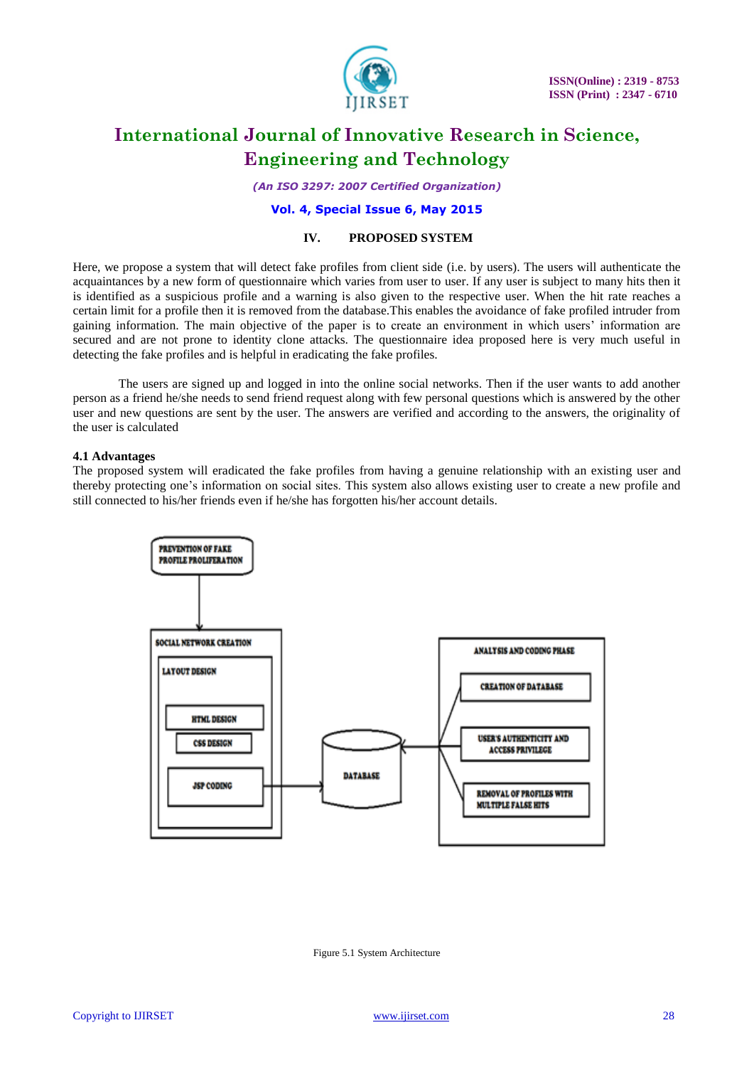

*(An ISO 3297: 2007 Certified Organization)*

#### **Vol. 4, Special Issue 6, May 2015**

#### **IV. PROPOSED SYSTEM**

Here, we propose a system that will detect fake profiles from client side (i.e. by users). The users will authenticate the acquaintances by a new form of questionnaire which varies from user to user. If any user is subject to many hits then it is identified as a suspicious profile and a warning is also given to the respective user. When the hit rate reaches a certain limit for a profile then it is removed from the database.This enables the avoidance of fake profiled intruder from gaining information. The main objective of the paper is to create an environment in which users' information are secured and are not prone to identity clone attacks. The questionnaire idea proposed here is very much useful in detecting the fake profiles and is helpful in eradicating the fake profiles.

The users are signed up and logged in into the online social networks. Then if the user wants to add another person as a friend he/she needs to send friend request along with few personal questions which is answered by the other user and new questions are sent by the user. The answers are verified and according to the answers, the originality of the user is calculated

#### **4.1 Advantages**

The proposed system will eradicated the fake profiles from having a genuine relationship with an existing user and thereby protecting one's information on social sites. This system also allows existing user to create a new profile and still connected to his/her friends even if he/she has forgotten his/her account details.



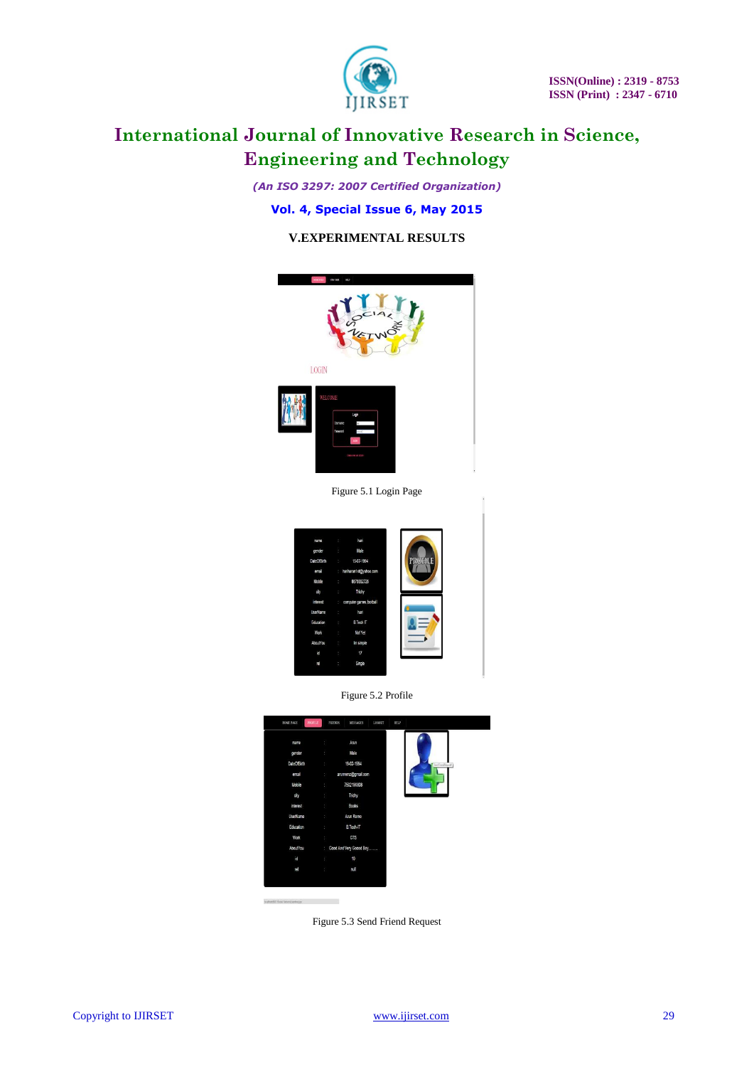

*(An ISO 3297: 2007 Certified Organization)*

### **Vol. 4, Special Issue 6, May 2015**

### **V.EXPERIMENTAL RESULTS**



Figure 5.1 Login Page







Figure 5.3 Send Friend Request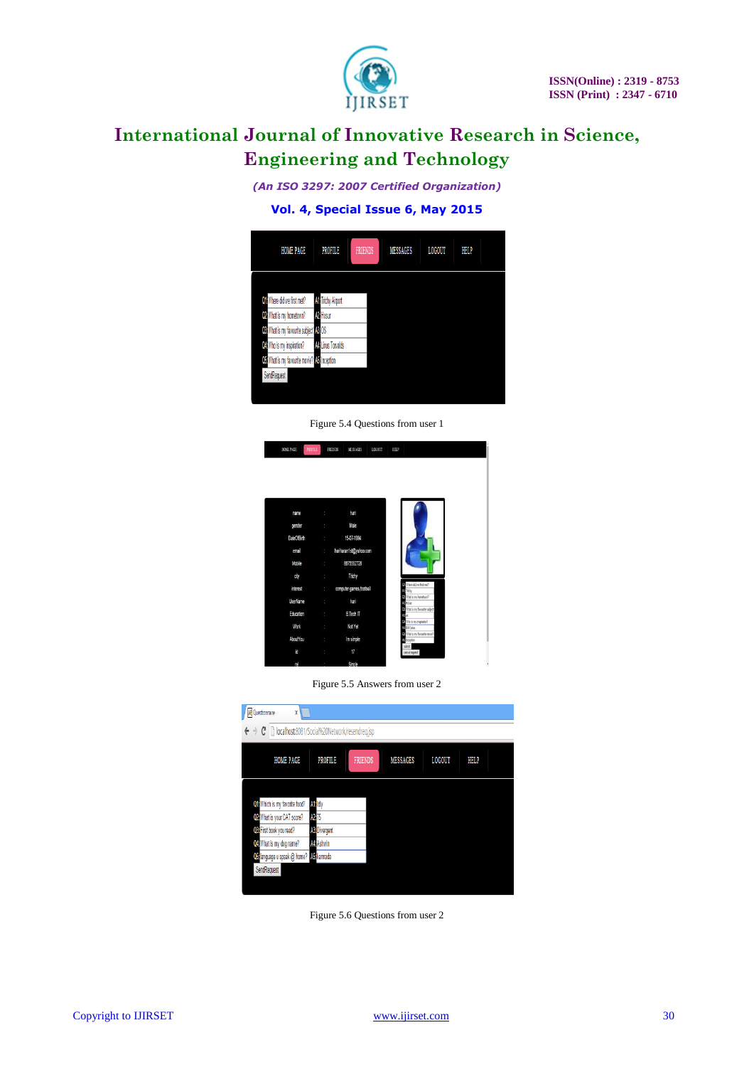

*(An ISO 3297: 2007 Certified Organization)*

### **Vol. 4, Special Issue 6, May 2015**

| <b>HOME PAGE</b><br><b>PROFILE</b><br>FRIENDS<br><b>MESSAGES</b><br><b>LOGOUT</b><br>HELP<br><b>All Trichy Airport</b><br>Of Where did we first met?<br>02 What is my hometown?<br><b>M</b> Hosur<br>Q3 What is my favourite subject <sup>1</sup> A3: OS<br>Q4 Who is my inspiration?<br><b>Mallinus Torvalds</b><br>Q5 What is my favourite movie? A5 Inception<br><b>SendRequest</b> |  |  |  |  |
|----------------------------------------------------------------------------------------------------------------------------------------------------------------------------------------------------------------------------------------------------------------------------------------------------------------------------------------------------------------------------------------|--|--|--|--|
|                                                                                                                                                                                                                                                                                                                                                                                        |  |  |  |  |
|                                                                                                                                                                                                                                                                                                                                                                                        |  |  |  |  |
|                                                                                                                                                                                                                                                                                                                                                                                        |  |  |  |  |
|                                                                                                                                                                                                                                                                                                                                                                                        |  |  |  |  |
|                                                                                                                                                                                                                                                                                                                                                                                        |  |  |  |  |
|                                                                                                                                                                                                                                                                                                                                                                                        |  |  |  |  |
|                                                                                                                                                                                                                                                                                                                                                                                        |  |  |  |  |
|                                                                                                                                                                                                                                                                                                                                                                                        |  |  |  |  |
|                                                                                                                                                                                                                                                                                                                                                                                        |  |  |  |  |

Figure 5.4 Questions from user 1

| <b>PROFILE</b><br>HOME PAGE |                                         | FRIENDS<br>MESSAGES<br>LOGOUT | HELP                                      |
|-----------------------------|-----------------------------------------|-------------------------------|-------------------------------------------|
|                             |                                         |                               |                                           |
|                             |                                         |                               |                                           |
|                             |                                         |                               |                                           |
|                             |                                         |                               |                                           |
|                             |                                         |                               |                                           |
|                             |                                         |                               |                                           |
| name                        | ÷                                       | hari                          |                                           |
|                             |                                         |                               |                                           |
| gender                      | ÷                                       | Vale                          |                                           |
| <b>DateOfBirth</b>          |                                         | 15-07-1994<br>$\mathcal{L}$   |                                           |
|                             |                                         |                               |                                           |
| email                       | ÷.                                      | hariharan1st@yahoo.com        |                                           |
|                             |                                         |                               |                                           |
| Mobile                      | ÷                                       | 8675552726                    |                                           |
| city                        | $\mathcal{L}^{\text{max}}_{\text{max}}$ | Trichy                        |                                           |
|                             |                                         |                               | (Where did we first met?)                 |
| interest                    | $\mathbb{Z}$                            | computer games, football      | <b>M</b> Tichy                            |
|                             |                                         |                               | (P) What is my hometown?                  |
| UserName                    | ÷                                       | hari                          | <b>M</b> iliss                            |
| Education                   | ÷                                       | <b>B.Tech IT</b>              | (Matis ny farazh-sabject)<br>$\mathbf{R}$ |
|                             |                                         |                               | OB / No is my inspiration?                |
| Work                        | ÷                                       | Not Yet                       | <b>M</b> Bill Gates                       |
|                             |                                         |                               | Ca What is my favourite movie?            |
| AboutYou                    | ÷                                       | Im simple                     | <b>U</b> togton                           |
| id                          | the control                             | 17                            | sdelt<br>cancel request                   |
|                             |                                         |                               |                                           |
| m                           |                                         | Single                        |                                           |

Figure 5.5 Answers from user 2

| Questionnaire<br>X                                                                    |                      |                |                 |               |      |  |  |  |
|---------------------------------------------------------------------------------------|----------------------|----------------|-----------------|---------------|------|--|--|--|
| $\leftarrow \rightarrow \mathbf{C}$   b localhost:8081/Social%20Network/resendreq.jsp |                      |                |                 |               |      |  |  |  |
| <b>HOME PAGE</b>                                                                      | PROFILE              | <b>FRIENDS</b> | <b>MESSAGES</b> | <b>LOGOUT</b> | HELP |  |  |  |
|                                                                                       |                      |                |                 |               |      |  |  |  |
| Q1: Which is my favorite food?                                                        | A1:Idly              |                |                 |               |      |  |  |  |
| 02 What is your CAT score?                                                            | A2:75                |                |                 |               |      |  |  |  |
| OB First book you read?                                                               | <b>A3: Divergent</b> |                |                 |               |      |  |  |  |
| Q4 What is my dog name?                                                               | A4: Ashwin           |                |                 |               |      |  |  |  |
| Ob language u speak @ home? Ab kannada                                                |                      |                |                 |               |      |  |  |  |
| SendRequest                                                                           |                      |                |                 |               |      |  |  |  |
|                                                                                       |                      |                |                 |               |      |  |  |  |

Figure 5.6 Questions from user 2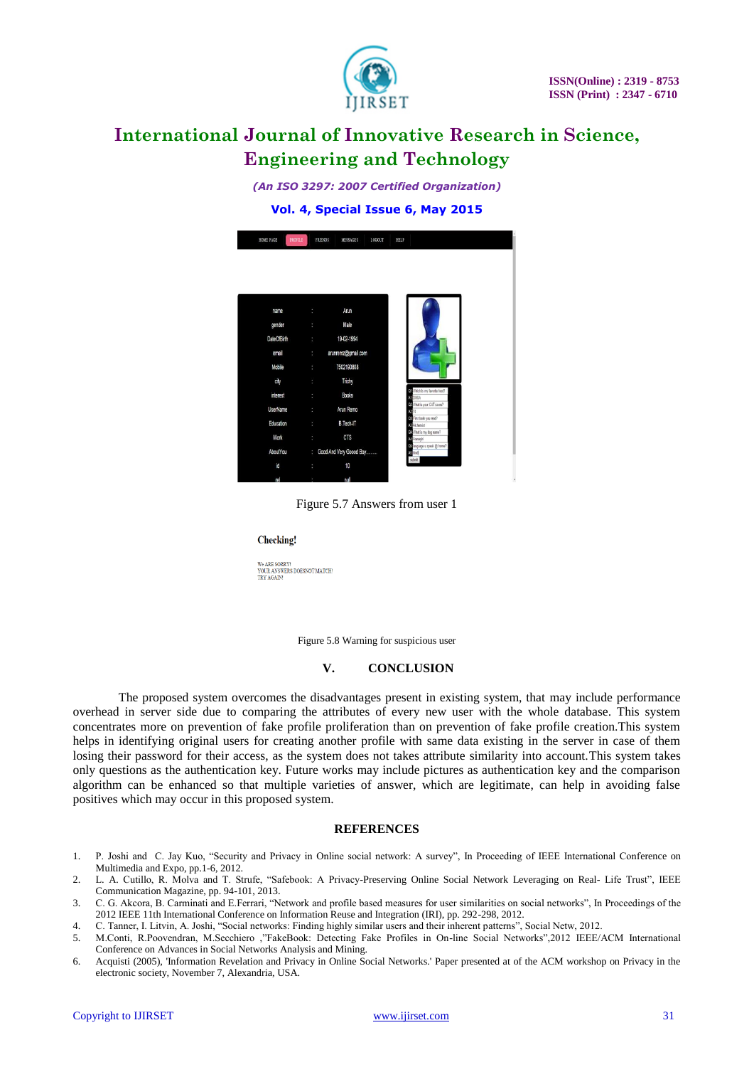

*(An ISO 3297: 2007 Certified Organization)*

#### **Vol. 4, Special Issue 6, May 2015**



Figure 5.7 Answers from user 1

#### **Checking!**

We ARE SORRY We ARE SORRY!<br>YOUR ANSWERS DOESNOT MATCH!<br>TRY AGAIN!

Figure 5.8 Warning for suspicious user

#### **V. CONCLUSION**

The proposed system overcomes the disadvantages present in existing system, that may include performance overhead in server side due to comparing the attributes of every new user with the whole database. This system concentrates more on prevention of fake profile proliferation than on prevention of fake profile creation.This system helps in identifying original users for creating another profile with same data existing in the server in case of them losing their password for their access, as the system does not takes attribute similarity into account.This system takes only questions as the authentication key. Future works may include pictures as authentication key and the comparison algorithm can be enhanced so that multiple varieties of answer, which are legitimate, can help in avoiding false positives which may occur in this proposed system.

#### **REFERENCES**

- 1. P. Joshi and C. Jay Kuo, "Security and Privacy in Online social network: A survey", In Proceeding of IEEE International Conference on Multimedia and Expo, pp.1-6, 2012.
- 2. L. A. Cutillo, R. Molva and T. Strufe, "Safebook: A Privacy-Preserving Online Social Network Leveraging on Real- Life Trust", IEEE Communication Magazine, pp. 94-101, 2013.
- 3. C. G. Akcora, B. Carminati and E.Ferrari, "Network and profile based measures for user similarities on social networks", In Proceedings of the 2012 IEEE 11th International Conference on Information Reuse and Integration (IRI), pp. 292-298, 2012.
- 4. C. Tanner, I. Litvin, A. Joshi, "Social networks: Finding highly similar users and their inherent patterns", Social Netw, 2012.
- 5. M.Conti, R.Poovendran, M.Secchiero ,"FakeBook: Detecting Fake Profiles in On-line Social Networks",2012 IEEE/ACM International Conference on Advances in Social Networks Analysis and Mining.
- 6. Acquisti (2005), 'Information Revelation and Privacy in Online Social Networks.' Paper presented at of the ACM workshop on Privacy in the electronic society, November 7, Alexandria, USA.